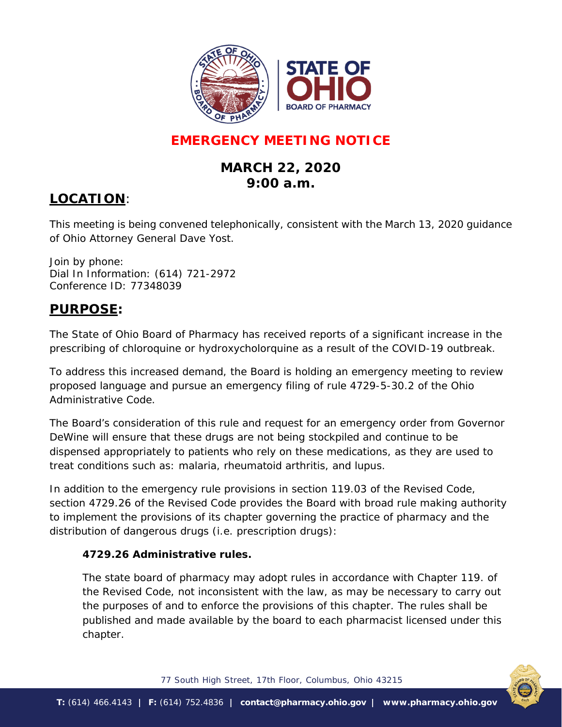

# **EMERGENCY MEETING NOTICE**

# **MARCH 22, 2020 9:00 a.m.**

## **LOCATION**:

This meeting is being convened telephonically, consistent with the March 13, 2020 guidance of Ohio Attorney General Dave Yost.

Join by phone: Dial In Information: (614) 721-2972 Conference ID: 77348039

## **PURPOSE:**

The State of Ohio Board of Pharmacy has received reports of a significant increase in the prescribing of chloroquine or hydroxycholorquine as a result of the COVID-19 outbreak.

To address this increased demand, the Board is holding an emergency meeting to review proposed language and pursue an emergency filing of rule 4729-5-30.2 of the Ohio Administrative Code.

The Board's consideration of this rule and request for an emergency order from Governor DeWine will ensure that these drugs are not being stockpiled and continue to be dispensed appropriately to patients who rely on these medications, as they are used to treat conditions such as: malaria, rheumatoid arthritis, and lupus.

In addition to the emergency rule provisions in section 119.03 of the Revised Code, section 4729.26 of the Revised Code provides the Board with broad rule making authority to implement the provisions of its chapter governing the practice of pharmacy and the distribution of dangerous drugs (i.e. prescription drugs):

#### *4729.26 Administrative rules.*

*The state board of pharmacy may adopt rules in accordance with Chapter 119. of the Revised Code, not inconsistent with the law, as may be necessary to carry out the purposes of and to enforce the provisions of this chapter. The rules shall be published and made available by the board to each pharmacist licensed under this chapter.*



77 South High Street, 17th Floor, Columbus, Ohio 43215